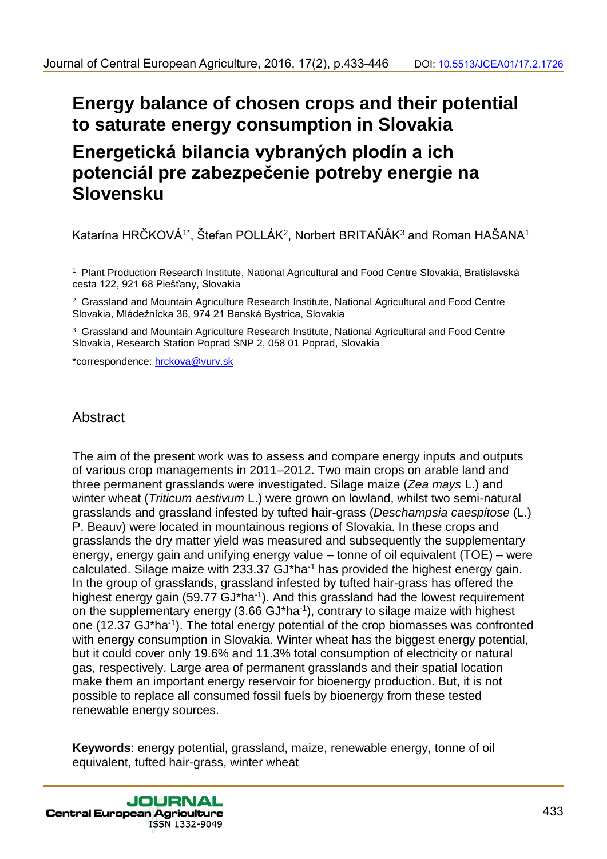# **Energy balance of chosen crops and their potential to saturate energy consumption in Slovakia**

# **Energetická bilancia vybraných plodín a ich potenciál pre zabezpečenie potreby energie na Slovensku**

Katarína HRČKOVÁ<sup>1\*</sup>, Štefan POLLÁK<sup>2</sup>, Norbert BRITAŇÁK<sup>3</sup> and Roman HAŠANA<sup>1</sup>

<sup>1</sup> Plant Production Research Institute, National Agricultural and Food Centre Slovakia, Bratislavská cesta 122, 921 68 Piešťany, Slovakia

<sup>2</sup> Grassland and Mountain Agriculture Research Institute, National Agricultural and Food Centre Slovakia, Mládežnícka 36, 974 21 Banská Bystrica, Slovakia

<sup>3</sup> Grassland and Mountain Agriculture Research Institute, National Agricultural and Food Centre Slovakia, Research Station Poprad SNP 2, 058 01 Poprad, Slovakia

\*correspondence: hrckova@vurv.sk

# **Abstract**

The aim of the present work was to assess and compare energy inputs and outputs of various crop managements in 2011–2012. Two main crops on arable land and three permanent grasslands were investigated. Silage maize (*Zea mays* L.) and winter wheat (*Triticum aestivum* L.) were grown on lowland, whilst two semi-natural grasslands and grassland infested by tufted hair-grass (*Deschampsia caespitose* (L.) P. Beauv) were located in mountainous regions of Slovakia. In these crops and grasslands the dry matter yield was measured and subsequently the supplementary energy, energy gain and unifying energy value – tonne of oil equivalent (TOE) – were calculated. Silage maize with 233.37 GJ\*ha-1 has provided the highest energy gain. In the group of grasslands, grassland infested by tufted hair-grass has offered the highest energy gain (59.77 GJ\*ha<sup>-1</sup>). And this grassland had the lowest requirement on the supplementary energy  $(3.66 \text{ GJ}^*$ ha<sup>-1</sup>), contrary to silage maize with highest one (12.37 GJ\*ha<sup>-1</sup>). The total energy potential of the crop biomasses was confronted with energy consumption in Slovakia. Winter wheat has the biggest energy potential, but it could cover only 19.6% and 11.3% total consumption of electricity or natural gas, respectively. Large area of permanent grasslands and their spatial location make them an important energy reservoir for bioenergy production. But, it is not possible to replace all consumed fossil fuels by bioenergy from these tested renewable energy sources.

**Keywords**: energy potential, grassland, maize, renewable energy, tonne of oil equivalent, tufted hair-grass, winter wheat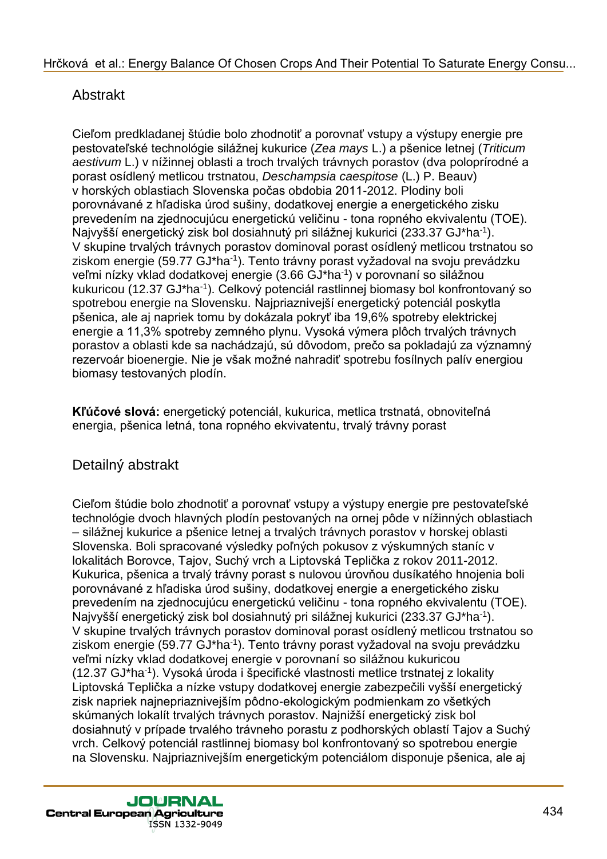# Abstrakt

Cieľom predkladanej štúdie bolo zhodnotiť a porovnať vstupy a výstupy energie pre pestovateľské technológie silážnej kukurice (*Zea mays* L.) a pšenice letnej (*Triticum aestivum* L.) v nížinnej oblasti a troch trvalých trávnych porastov (dva poloprírodné a porast osídlený metlicou trstnatou, *Deschampsia caespitose* (L.) P. Beauv) v horských oblastiach Slovenska počas obdobia 2011-2012. Plodiny boli porovnávané z hľadiska úrod sušiny, dodatkovej energie a energetického zisku prevedením na zjednocujúcu energetickú veličinu - tona ropného ekvivalentu (TOE). Najvyšší energetický zisk bol dosiahnutý pri silážnej kukurici (233.37 GJ\*ha-1). V skupine trvalých trávnych porastov dominoval porast osídlený metlicou trstnatou so ziskom energie (59.77 GJ\*ha<sup>-1</sup>). Tento trávny porast vyžadoval na svoju prevádzku veľmi nízky vklad dodatkovej energie (3.66 GJ\*ha<sup>-1</sup>) v porovnaní so silážnou kukuricou (12.37 GJ\*ha<sup>-1</sup>). Celkový potenciál rastlinnej biomasy bol konfrontovaný so spotrebou energie na Slovensku. Najpriaznivejší energetický potenciál poskytla pšenica, ale aj napriek tomu by dokázala pokryť iba 19,6% spotreby elektrickej energie a 11,3% spotreby zemného plynu. Vysoká výmera plôch trvalých trávnych porastov a oblasti kde sa nachádzajú, sú dôvodom, prečo sa pokladajú za významný rezervoár bioenergie. Nie je však možné nahradiť spotrebu fosílnych palív energiou biomasy testovaných plodín.

**Kľúčové slová:** energetický potenciál, kukurica, metlica trstnatá, obnoviteľná energia, pšenica letná, tona ropného ekvivatentu, trvalý trávny porast

# Detailný abstrakt

Cieľom štúdie bolo zhodnotiť a porovnať vstupy a výstupy energie pre pestovateľské technológie dvoch hlavných plodín pestovaných na ornej pôde v nížinných oblastiach – silážnej kukurice a pšenice letnej a trvalých trávnych porastov v horskej oblasti Slovenska. Boli spracované výsledky poľných pokusov z výskumných staníc v lokalitách Borovce, Tajov, Suchý vrch a Liptovská Teplička z rokov 2011-2012. Kukurica, pšenica a trvalý trávny porast s nulovou úrovňou dusíkatého hnojenia boli porovnávané z hľadiska úrod sušiny, dodatkovej energie a energetického zisku prevedením na zjednocujúcu energetickú veličinu - tona ropného ekvivalentu (TOE). Najvyšší energetický zisk bol dosiahnutý pri silážnej kukurici (233.37 GJ\*ha-1). V skupine trvalých trávnych porastov dominoval porast osídlený metlicou trstnatou so ziskom energie (59.77 GJ\*ha<sup>-1</sup>). Tento trávny porast vyžadoval na svoju prevádzku veľmi nízky vklad dodatkovej energie v porovnaní so silážnou kukuricou (12.37 GJ\*ha-1 ). Vysoká úroda i špecifické vlastnosti metlice trstnatej z lokality Liptovská Teplička a nízke vstupy dodatkovej energie zabezpečili vyšší energetický zisk napriek najnepriaznivejším pôdno-ekologickým podmienkam zo všetkých skúmaných lokalít trvalých trávnych porastov. Najnižší energetický zisk bol dosiahnutý v prípade trvalého trávneho porastu z podhorských oblastí Tajov a Suchý vrch. Celkový potenciál rastlinnej biomasy bol konfrontovaný so spotrebou energie na Slovensku. Najpriaznivejším energetickým potenciálom disponuje pšenica, ale aj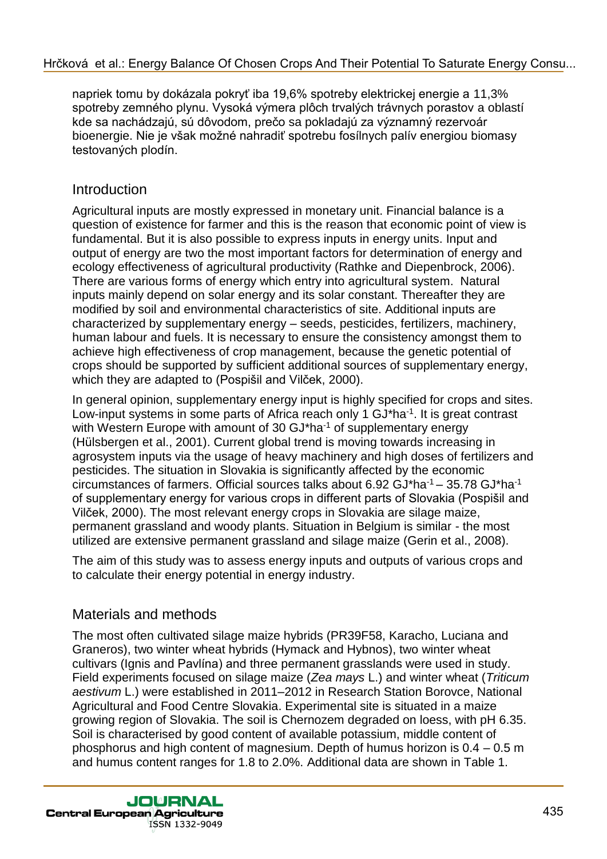napriek tomu by dokázala pokryť iba 19,6% spotreby elektrickej energie a 11,3% spotreby zemného plynu. Vysoká výmera plôch trvalých trávnych porastov a oblastí kde sa nachádzajú, sú dôvodom, prečo sa pokladajú za významný rezervoár bioenergie. Nie je však možné nahradiť spotrebu fosílnych palív energiou biomasy testovaných plodín.

## Introduction

Agricultural inputs are mostly expressed in monetary unit. Financial balance is a question of existence for farmer and this is the reason that economic point of view is fundamental. But it is also possible to express inputs in energy units. Input and output of energy are two the most important factors for determination of energy and ecology effectiveness of agricultural productivity (Rathke and Diepenbrock, 2006). There are various forms of energy which entry into agricultural system. Natural inputs mainly depend on solar energy and its solar constant. Thereafter they are modified by soil and environmental characteristics of site. Additional inputs are characterized by supplementary energy – seeds, pesticides, fertilizers, machinery, human labour and fuels. It is necessary to ensure the consistency amongst them to achieve high effectiveness of crop management, because the genetic potential of crops should be supported by sufficient additional sources of supplementary energy, which they are adapted to (Pospišil and Vilček, 2000).

In general opinion, supplementary energy input is highly specified for crops and sites. Low-input systems in some parts of Africa reach only 1 GJ\*ha<sup>-1</sup>. It is great contrast with Western Europe with amount of 30 GJ\*ha<sup>-1</sup> of supplementary energy (Hülsbergen et al., 2001). Current global trend is moving towards increasing in agrosystem inputs via the usage of heavy machinery and high doses of fertilizers and pesticides. The situation in Slovakia is significantly affected by the economic circumstances of farmers. Official sources talks about  $6.92$  GJ\*ha<sup>-1</sup> – 35.78 GJ\*ha<sup>-1</sup> of supplementary energy for various crops in different parts of Slovakia (Pospišil and Vilček, 2000). The most relevant energy crops in Slovakia are silage maize, permanent grassland and woody plants. Situation in Belgium is similar - the most utilized are extensive permanent grassland and silage maize (Gerin et al., 2008).

The aim of this study was to assess energy inputs and outputs of various crops and to calculate their energy potential in energy industry.

# Materials and methods

The most often cultivated silage maize hybrids (PR39F58, Karacho, Luciana and Graneros), two winter wheat hybrids (Hymack and Hybnos), two winter wheat cultivars (Ignis and Pavlína) and three permanent grasslands were used in study. Field experiments focused on silage maize (*Zea mays* L.) and winter wheat (*Triticum aestivum* L.) were established in 2011–2012 in Research Station Borovce, National Agricultural and Food Centre Slovakia. Experimental site is situated in a maize growing region of Slovakia. The soil is Chernozem degraded on loess, with pH 6.35. Soil is characterised by good content of available potassium, middle content of phosphorus and high content of magnesium. Depth of humus horizon is 0.4 – 0.5 m and humus content ranges for 1.8 to 2.0%. Additional data are shown in Table 1.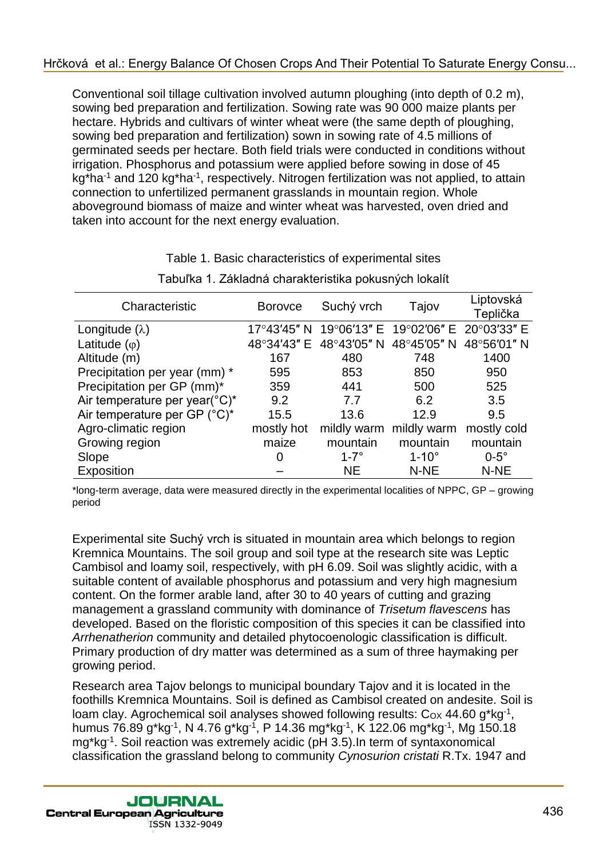Conventional soil tillage cultivation involved autumn ploughing (into depth of 0.2 m), sowing bed preparation and fertilization. Sowing rate was 90 000 maize plants per hectare. Hybrids and cultivars of winter wheat were (the same depth of ploughing, sowing bed preparation and fertilization) sown in sowing rate of 4.5 millions of germinated seeds per hectare. Both field trials were conducted in conditions without irrigation. Phosphorus and potassium were applied before sowing in dose of 45 kg\*ha<sup>-1</sup> and 120 kg\*ha<sup>-1</sup>, respectively. Nitrogen fertilization was not applied, to attain connection to unfertilized permanent grasslands in mountain region. Whole aboveground biomass of maize and winter wheat was harvested, oven dried and taken into account for the next energy evaluation.

| Characteristic                | <b>Borovce</b>        | Suchý vrch  | Tajov                               | Liptovská<br>Teplička |
|-------------------------------|-----------------------|-------------|-------------------------------------|-----------------------|
| Longitude $(\lambda)$         | $17^{\circ}43'45''$ N |             | 19°06'13" E 19°02'06" E 20°03'33" E |                       |
| Latitude $(\varphi)$          | 48°34'43" E           | 48°43'05" N | 48°45′05″ N                         | 48°56'01" N           |
| Altitude (m)                  | 167                   | 480         | 748                                 | 1400                  |
| Precipitation per year (mm) * | 595                   | 853         | 850                                 | 950                   |
| Precipitation per GP (mm)*    | 359                   | 441         | 500                                 | 525                   |
| Air temperature per year(°C)* | 9.2                   | 7.7         | 6.2                                 | 3.5                   |
| Air temperature per GP (°C)*  | 15.5                  | 13.6        | 12.9                                | 9.5                   |
| Agro-climatic region          | mostly hot            | mildly warm | mildly warm                         | mostly cold           |
| Growing region                | maize                 | mountain    | mountain                            | mountain              |
| Slope                         | 0                     | $1-7^\circ$ | $1-10^\circ$                        | $0-5^\circ$           |
| Exposition                    |                       | <b>NE</b>   | N-NE                                | N-NE                  |

## Table 1. Basic characteristics of experimental sites Tabuľka 1. Základná charakteristika pokusných lokalít

\*long-term average, data were measured directly in the experimental localities of NPPC, GP – growing period

Experimental site Suchý vrch is situated in mountain area which belongs to region Kremnica Mountains. The soil group and soil type at the research site was Leptic Cambisol and loamy soil, respectively, with pH 6.09. Soil was slightly acidic, with a suitable content of available phosphorus and potassium and very high magnesium content. On the former arable land, after 30 to 40 years of cutting and grazing management a grassland community with dominance of *Trisetum flavescens* has developed. Based on the floristic composition of this species it can be classified into *Arrhenatherion* community and detailed phytocoenologic classification is difficult. Primary production of dry matter was determined as a sum of three haymaking per growing period.

Research area Tajov belongs to municipal boundary Tajov and it is located in the foothills Kremnica Mountains. Soil is defined as Cambisol created on andesite. Soil is loam clay. Agrochemical soil analyses showed following results:  $C_{OX}$  44.60 g\*kg<sup>-1</sup>, humus 76.89 g\*kg-1 , N 4.76 g\*kg-1 , P 14.36 mg\*kg-1 , K 122.06 mg\*kg-1 , Mg 150.18 mg\*kg-1 . Soil reaction was extremely acidic (pH 3.5).In term of syntaxonomical classification the grassland belong to community *Cynosurion cristati* R.Tx. 1947 and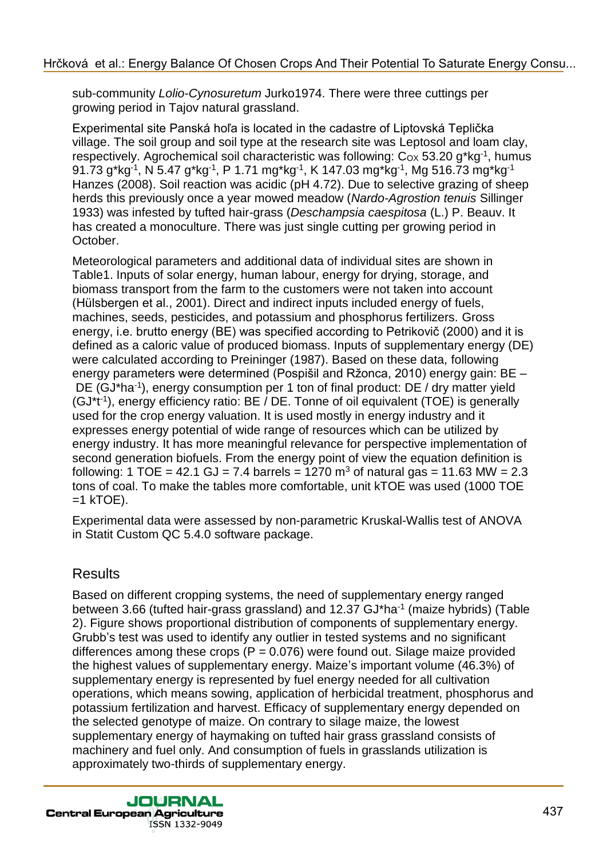sub-community *Lolio-Cynosuretum* Jurko1974. There were three cuttings per growing period in Tajov natural grassland.

Experimental site Panská hoľa is located in the cadastre of Liptovská Teplička village. The soil group and soil type at the research site was Leptosol and loam clay, respectively. Agrochemical soil characteristic was following:  $C_{OX}$  53.20 g\*kg<sup>-1</sup>, humus 91.73 g\*kg<sup>-1</sup>, N 5.47 g\*kg<sup>-1</sup>, P 1.71 mg\*kg<sup>-1</sup>, K 147.03 mg\*kg<sup>-1</sup>, Mg 516.73 mg\*kg<sup>-1</sup> Hanzes (2008). Soil reaction was acidic (pH 4.72). Due to selective grazing of sheep herds this previously once a year mowed meadow (*Nardo-Agrostion tenuis* Sillinger 1933) was infested by tufted hair-grass (*Deschampsia caespitosa* (L.) P. Beauv. It has created a monoculture. There was just single cutting per growing period in October.

Meteorological parameters and additional data of individual sites are shown in Table1. Inputs of solar energy, human labour, energy for drying, storage, and biomass transport from the farm to the customers were not taken into account (Hülsbergen et al., 2001). Direct and indirect inputs included energy of fuels, machines, seeds, pesticides, and potassium and phosphorus fertilizers. Gross energy, i.e. brutto energy (BE) was specified according to Petrikovič (2000) and it is defined as a caloric value of produced biomass. Inputs of supplementary energy (DE) were calculated according to Preininger (1987). Based on these data, following energy parameters were determined (Pospišil and Ržonca, 2010) energy gain: BE – DE (GJ\*ha<sup>-1</sup>), energy consumption per 1 ton of final product: DE / dry matter yield (GJ<sup>\*t<sup>1</sup>), energy efficiency ratio: BE / DE. Tonne of oil equivalent (TOE) is generally</sup> used for the crop energy valuation. It is used mostly in energy industry and it expresses energy potential of wide range of resources which can be utilized by energy industry. It has more meaningful relevance for perspective implementation of second generation biofuels. From the energy point of view the equation definition is following: 1 TOE = 42.1 GJ = 7.4 barrels = 1270  $\text{m}^3$  of natural gas = 11.63 MW = 2.3 tons of coal. To make the tables more comfortable, unit kTOE was used (1000 TOE  $=1$  kTOE).

Experimental data were assessed by non-parametric Kruskal-Wallis test of ANOVA in Statit Custom QC 5.4.0 software package.

## **Results**

Based on different cropping systems, the need of supplementary energy ranged between 3.66 (tufted hair-grass grassland) and 12.37 GJ\*ha<sup>-1</sup> (maize hybrids) (Table 2). Figure shows proportional distribution of components of supplementary energy. Grubb's test was used to identify any outlier in tested systems and no significant differences among these crops ( $P = 0.076$ ) were found out. Silage maize provided the highest values of supplementary energy. Maize's important volume (46.3%) of supplementary energy is represented by fuel energy needed for all cultivation operations, which means sowing, application of herbicidal treatment, phosphorus and potassium fertilization and harvest. Efficacy of supplementary energy depended on the selected genotype of maize. On contrary to silage maize, the lowest supplementary energy of haymaking on tufted hair grass grassland consists of machinery and fuel only. And consumption of fuels in grasslands utilization is approximately two-thirds of supplementary energy.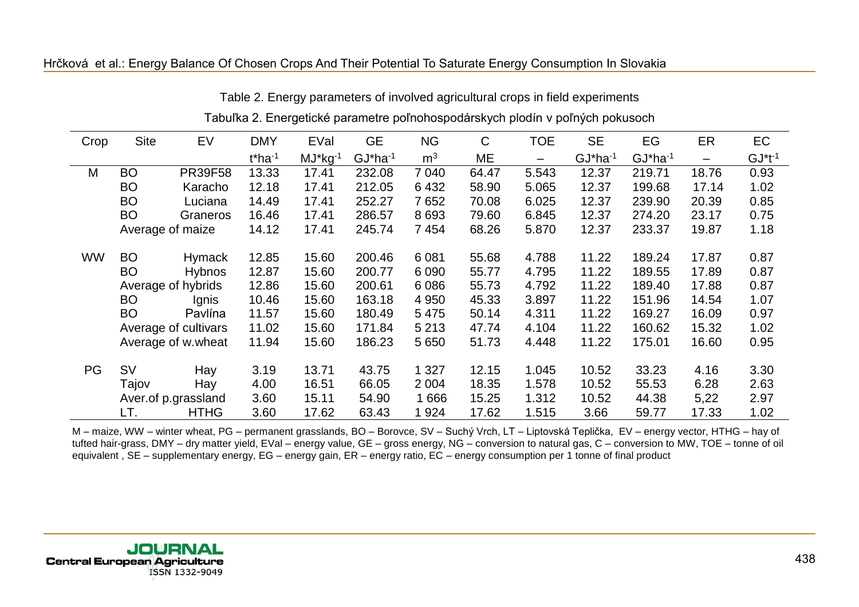#### [Hrčková et al.: Energy Balance Of Chosen Crops And Their Potential To Saturate Energy Consumption In Slovakia](http://jcea.agr.hr/volumes.php?search=Article%3A1726)

| Crop      | <b>Site</b>      | EV                   | <b>DMY</b>            | EVal          | <b>GE</b>     | <b>NG</b>      | $\mathsf{C}$ | <b>TOE</b> | <b>SE</b>               | EG            | ER    | EC           |
|-----------|------------------|----------------------|-----------------------|---------------|---------------|----------------|--------------|------------|-------------------------|---------------|-------|--------------|
|           |                  |                      | $t*$ ha <sup>-1</sup> | $MJ^*kg^{-1}$ | $GJ^*ha^{-1}$ | m <sup>3</sup> | ME           | -          | $GJ^*$ ha <sup>-1</sup> | $GJ^*ha^{-1}$ | —     | $GJ^*t^{-1}$ |
| M         | <b>BO</b>        | <b>PR39F58</b>       | 13.33                 | 17.41         | 232.08        | 7 0 4 0        | 64.47        | 5.543      | 12.37                   | 219.71        | 18.76 | 0.93         |
|           | <b>BO</b>        | Karacho              | 12.18                 | 17.41         | 212.05        | 6432           | 58.90        | 5.065      | 12.37                   | 199.68        | 17.14 | 1.02         |
|           | <b>BO</b>        | Luciana              | 14.49                 | 17.41         | 252.27        | 7652           | 70.08        | 6.025      | 12.37                   | 239.90        | 20.39 | 0.85         |
|           | <b>BO</b>        | Graneros             | 16.46                 | 17.41         | 286.57        | 8 6 9 3        | 79.60        | 6.845      | 12.37                   | 274.20        | 23.17 | 0.75         |
|           | Average of maize |                      | 14.12                 | 17.41         | 245.74        | 7454           | 68.26        | 5.870      | 12.37                   | 233.37        | 19.87 | 1.18         |
| <b>WW</b> | <b>BO</b>        | <b>Hymack</b>        | 12.85                 | 15.60         | 200.46        | 6 0 8 1        | 55.68        | 4.788      | 11.22                   | 189.24        | 17.87 | 0.87         |
|           | <b>BO</b>        | <b>Hybnos</b>        | 12.87                 | 15.60         | 200.77        | 6 0 9 0        | 55.77        | 4.795      | 11.22                   | 189.55        | 17.89 | 0.87         |
|           |                  | Average of hybrids   | 12.86                 | 15.60         | 200.61        | 6 0 8 6        | 55.73        | 4.792      | 11.22                   | 189.40        | 17.88 | 0.87         |
|           | <b>BO</b>        | <b>Ignis</b>         | 10.46                 | 15.60         | 163.18        | 4 9 5 0        | 45.33        | 3.897      | 11.22                   | 151.96        | 14.54 | 1.07         |
|           | <b>BO</b>        | Pavlína              | 11.57                 | 15.60         | 180.49        | 5 4 7 5        | 50.14        | 4.311      | 11.22                   | 169.27        | 16.09 | 0.97         |
|           |                  | Average of cultivars | 11.02                 | 15.60         | 171.84        | 5 2 1 3        | 47.74        | 4.104      | 11.22                   | 160.62        | 15.32 | 1.02         |
|           |                  | Average of w.wheat   | 11.94                 | 15.60         | 186.23        | 5 6 5 0        | 51.73        | 4.448      | 11.22                   | 175.01        | 16.60 | 0.95         |
| <b>PG</b> | <b>SV</b>        | Hay                  | 3.19                  | 13.71         | 43.75         | 1 3 2 7        | 12.15        | 1.045      | 10.52                   | 33.23         | 4.16  | 3.30         |
|           | Tajov            | Hay                  | 4.00                  | 16.51         | 66.05         | 2 0 0 4        | 18.35        | 1.578      | 10.52                   | 55.53         | 6.28  | 2.63         |
|           |                  | Aver.of p.grassland  | 3.60                  | 15.11         | 54.90         | 1 6 6 6        | 15.25        | 1.312      | 10.52                   | 44.38         | 5,22  | 2.97         |
|           | LT.              | <b>HTHG</b>          | 3.60                  | 17.62         | 63.43         | 1924           | 17.62        | 1.515      | 3.66                    | 59.77         | 17.33 | 1.02         |

Table 2. Energy parameters of involved agricultural crops in field experiments

#### Tabuľka 2. Energetické parametre poľnohospodárskych plodín v poľných pokusoch

M – maize, WW – winter wheat, PG – permanent grasslands, BO – Borovce, SV – Suchý Vrch, LT – Liptovská Teplička, EV – energy vector, HTHG – hay of tufted hair-grass, DMY – dry matter yield, EVal – energy value, GE – gross energy, NG – conversion to natural gas, C – conversion to MW, TOE – tonne of oil equivalent , SE – supplementary energy, EG – energy gain, ER – energy ratio, EC – energy consumption per 1 tonne of final product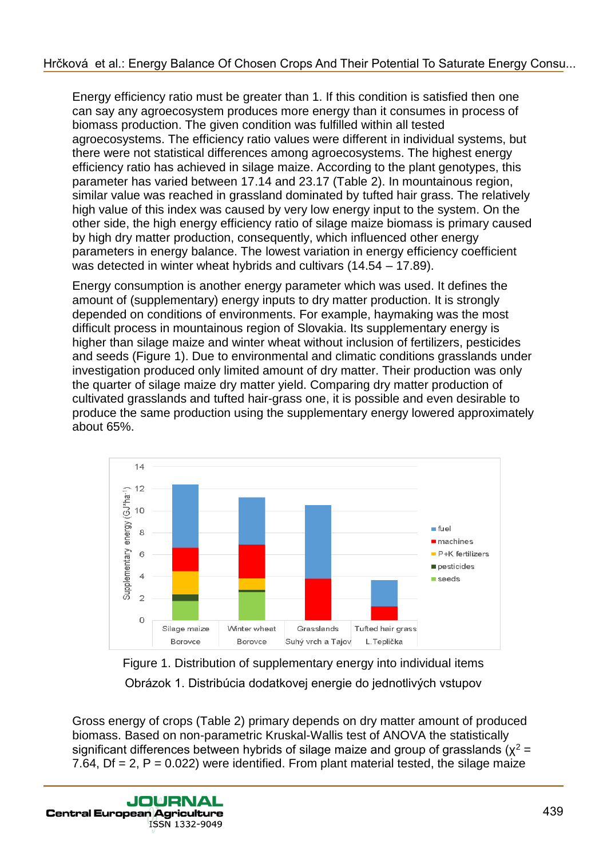Energy efficiency ratio must be greater than 1. If this condition is satisfied then one can say any agroecosystem produces more energy than it consumes in process of biomass production. The given condition was fulfilled within all tested agroecosystems. The efficiency ratio values were different in individual systems, but there were not statistical differences among agroecosystems. The highest energy efficiency ratio has achieved in silage maize. According to the plant genotypes, this parameter has varied between 17.14 and 23.17 (Table 2). In mountainous region, similar value was reached in grassland dominated by tufted hair grass. The relatively high value of this index was caused by very low energy input to the system. On the other side, the high energy efficiency ratio of silage maize biomass is primary caused by high dry matter production, consequently, which influenced other energy parameters in energy balance. The lowest variation in energy efficiency coefficient was detected in winter wheat hybrids and cultivars (14.54 – 17.89).

Energy consumption is another energy parameter which was used. It defines the amount of (supplementary) energy inputs to dry matter production. It is strongly depended on conditions of environments. For example, haymaking was the most difficult process in mountainous region of Slovakia. Its supplementary energy is higher than silage maize and winter wheat without inclusion of fertilizers, pesticides and seeds (Figure 1). Due to environmental and climatic conditions grasslands under investigation produced only limited amount of dry matter. Their production was only the quarter of silage maize dry matter yield. Comparing dry matter production of cultivated grasslands and tufted hair-grass one, it is possible and even desirable to produce the same production using the supplementary energy lowered approximately about 65%.



Figure 1. Distribution of supplementary energy into individual items Obrázok 1. Distribúcia dodatkovej energie do jednotlivých vstupov

Gross energy of crops (Table 2) primary depends on dry matter amount of produced biomass. Based on non-parametric Kruskal-Wallis test of ANOVA the statistically significant differences between hybrids of silage maize and group of grasslands ( $\chi^2$  = 7.64,  $Df = 2$ ,  $P = 0.022$ ) were identified. From plant material tested, the silage maize

**JOURNAL Central European Agriculture** ISSN 1332-9049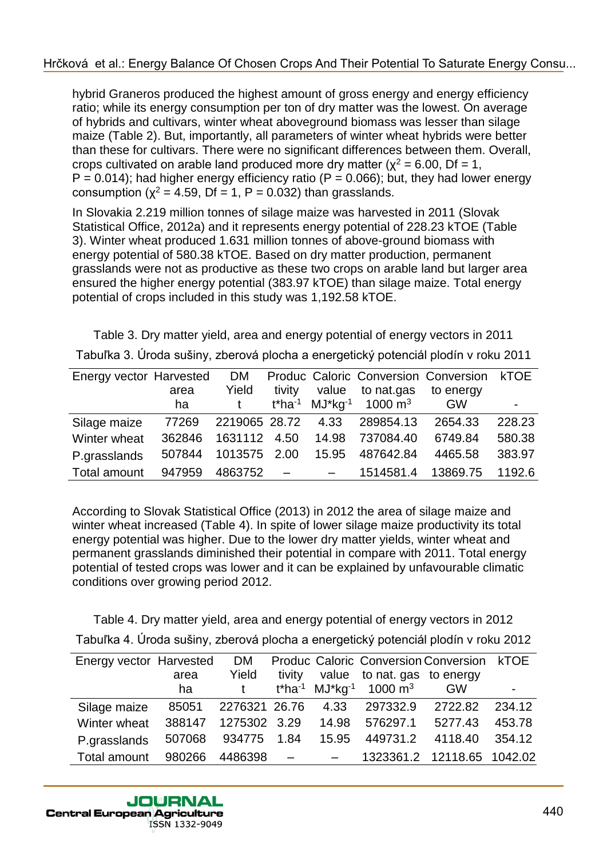hybrid Graneros produced the highest amount of gross energy and energy efficiency ratio; while its energy consumption per ton of dry matter was the lowest. On average of hybrids and cultivars, winter wheat aboveground biomass was lesser than silage maize (Table 2). But, importantly, all parameters of winter wheat hybrids were better than these for cultivars. There were no significant differences between them. Overall, crops cultivated on arable land produced more dry matter ( $x^2 = 6.00$ , Df = 1,  $P = 0.014$ ); had higher energy efficiency ratio (P = 0.066); but, they had lower energy consumption ( $x^2 = 4.59$ , Df = 1, P = 0.032) than grasslands.

In Slovakia 2.219 million tonnes of silage maize was harvested in 2011 (Slovak Statistical Office, 2012a) and it represents energy potential of 228.23 kTOE (Table 3). Winter wheat produced 1.631 million tonnes of above-ground biomass with energy potential of 580.38 kTOE. Based on dry matter production, permanent grasslands were not as productive as these two crops on arable land but larger area ensured the higher energy potential (383.97 kTOE) than silage maize. Total energy potential of crops included in this study was 1,192.58 kTOE.

Table 3. Dry matter yield, area and energy potential of energy vectors in 2011 Tabuľka 3. Úroda sušiny, zberová plocha a energetický potenciál plodín v roku 2011

| Energy vector Harvested |        | <b>DM</b>          |            |       |                                                            | Produc Caloric Conversion Conversion | kTOE   |
|-------------------------|--------|--------------------|------------|-------|------------------------------------------------------------|--------------------------------------|--------|
|                         | area   | Yield              | tivity     | value | to nat.gas                                                 | to energy                            |        |
|                         | ha     |                    |            |       | t*ha <sup>-1</sup> MJ*kg <sup>-1</sup> 1000 m <sup>3</sup> | <b>GW</b>                            | -      |
| Silage maize            | 77269  | 2219065 28.72 4.33 |            |       | 289854.13                                                  | 2654.33                              | 228.23 |
| Winter wheat            | 362846 | 1631112 4.50       |            | 14.98 | 737084.40                                                  | 6749.84                              | 580.38 |
| P.grasslands            | 507844 | 1013575 2.00       |            | 15.95 | 487642.84                                                  | 4465.58                              | 383.97 |
| Total amount            | 947959 | 4863752            | $\sim$ $-$ |       | 1514581.4                                                  | 13869.75                             | 1192.6 |

According to Slovak Statistical Office (2013) in 2012 the area of silage maize and winter wheat increased (Table 4). In spite of lower silage maize productivity its total energy potential was higher. Due to the lower dry matter yields, winter wheat and permanent grasslands diminished their potential in compare with 2011. Total energy potential of tested crops was lower and it can be explained by unfavourable climatic conditions over growing period 2012.

Table 4. Dry matter yield, area and energy potential of energy vectors in 2012 Tabuľka 4. Úroda sušiny, zberová plocha a energetický potenciál plodín v roku 2012

| Energy vector Harvested |        | <b>DM</b>     |        |       | Produc Caloric Conversion Conversion kTOE                  |                            |        |
|-------------------------|--------|---------------|--------|-------|------------------------------------------------------------|----------------------------|--------|
|                         | area   | Yield         | tivity |       | value to nat. gas to energy                                |                            |        |
|                         | ha     |               |        |       | t*ha <sup>-1</sup> MJ*kg <sup>-1</sup> 1000 m <sup>3</sup> | <b>GW</b>                  |        |
| Silage maize            | 85051  | 2276321 26.76 |        | 4.33  | 297332.9                                                   | 2722.82                    | 234.12 |
| Winter wheat            | 388147 | 1275302 3.29  |        | 14.98 | 576297.1                                                   | 5277.43                    | 453.78 |
| P.grasslands            | 507068 | 934775        | 1.84   | 15.95 | 449731.2                                                   | 4118.40                    | 354.12 |
| Total amount            | 980266 | 4486398       |        |       |                                                            | 1323361.2 12118.65 1042.02 |        |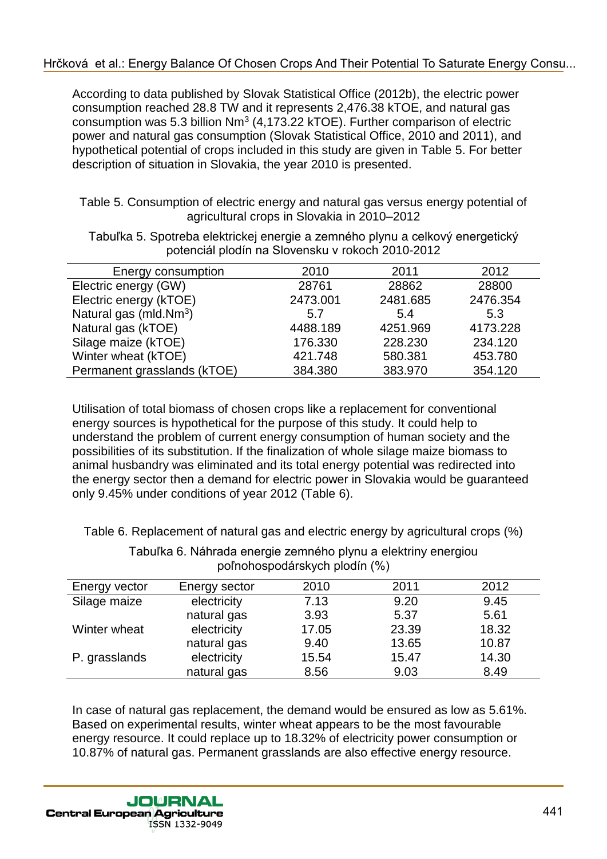#### [Hrčková et al.: Energy Balance Of Chosen Crops And Their Potential To Saturate Energy Consu...](http://jcea.agr.hr/volumes.php?search=Article%3A1726)

According to data published by Slovak Statistical Office (2012b), the electric power consumption reached 28.8 TW and it represents 2,476.38 kTOE, and natural gas consumption was 5.3 billion  $Nm^3$  (4,173.22 kTOE). Further comparison of electric power and natural gas consumption (Slovak Statistical Office, 2010 and 2011), and hypothetical potential of crops included in this study are given in Table 5. For better description of situation in Slovakia, the year 2010 is presented.

Table 5. Consumption of electric energy and natural gas versus energy potential of agricultural crops in Slovakia in 2010–2012

| Energy consumption          | 2010     | 2011     | 2012     |
|-----------------------------|----------|----------|----------|
| Electric energy (GW)        | 28761    | 28862    | 28800    |
| Electric energy (kTOE)      | 2473.001 | 2481.685 | 2476.354 |
| Natural gas (mld. $Nm^3$ )  | 5.7      | 5.4      | 5.3      |
| Natural gas (kTOE)          | 4488.189 | 4251.969 | 4173.228 |
| Silage maize (kTOE)         | 176.330  | 228.230  | 234.120  |
| Winter wheat (kTOE)         | 421.748  | 580.381  | 453.780  |
| Permanent grasslands (kTOE) | 384.380  | 383.970  | 354.120  |

Tabuľka 5. Spotreba elektrickej energie a zemného plynu a celkový energetický potenciál plodín na Slovensku v rokoch 2010-2012

Utilisation of total biomass of chosen crops like a replacement for conventional energy sources is hypothetical for the purpose of this study. It could help to understand the problem of current energy consumption of human society and the possibilities of its substitution. If the finalization of whole silage maize biomass to animal husbandry was eliminated and its total energy potential was redirected into the energy sector then a demand for electric power in Slovakia would be guaranteed only 9.45% under conditions of year 2012 (Table 6).

Table 6. Replacement of natural gas and electric energy by agricultural crops (%)

| poľnohospodárskych plodín (%) |               |       |       |       |  |  |  |
|-------------------------------|---------------|-------|-------|-------|--|--|--|
| Energy vector                 | Energy sector | 2010  | 2011  | 2012  |  |  |  |
| Silage maize                  | electricity   | 7.13  | 9.20  | 9.45  |  |  |  |
|                               | natural gas   | 3.93  | 5.37  | 5.61  |  |  |  |
| Winter wheat                  | electricity   | 17.05 | 23.39 | 18.32 |  |  |  |
|                               | natural gas   | 9.40  | 13.65 | 10.87 |  |  |  |
| P. grasslands                 | electricity   | 15.54 | 15.47 | 14.30 |  |  |  |
|                               | natural gas   | 8.56  | 9.03  | 8.49  |  |  |  |

Tabuľka 6. Náhrada energie zemného plynu a elektriny energiou poľnohospodárskych plodín (%)

In case of natural gas replacement, the demand would be ensured as low as 5.61%. Based on experimental results, winter wheat appears to be the most favourable energy resource. It could replace up to 18.32% of electricity power consumption or 10.87% of natural gas. Permanent grasslands are also effective energy resource.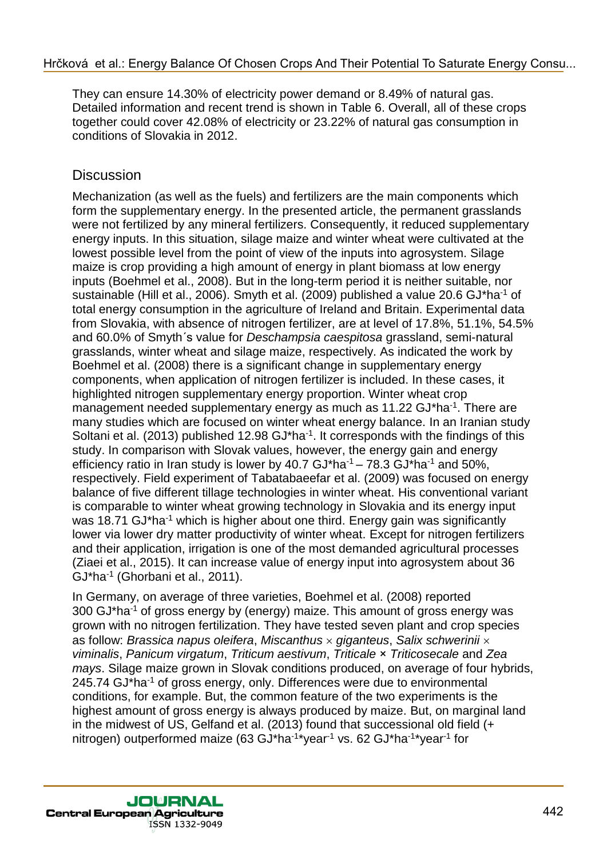They can ensure 14.30% of electricity power demand or 8.49% of natural gas. Detailed information and recent trend is shown in Table 6. Overall, all of these crops together could cover 42.08% of electricity or 23.22% of natural gas consumption in conditions of Slovakia in 2012.

# **Discussion**

Mechanization (as well as the fuels) and fertilizers are the main components which form the supplementary energy. In the presented article, the permanent grasslands were not fertilized by any mineral fertilizers. Consequently, it reduced supplementary energy inputs. In this situation, silage maize and winter wheat were cultivated at the lowest possible level from the point of view of the inputs into agrosystem. Silage maize is crop providing a high amount of energy in plant biomass at low energy inputs (Boehmel et al., 2008). But in the long-term period it is neither suitable, nor sustainable (Hill et al., 2006). Smyth et al. (2009) published a value 20.6 GJ\*ha-1 of total energy consumption in the agriculture of Ireland and Britain. Experimental data from Slovakia, with absence of nitrogen fertilizer, are at level of 17.8%, 51.1%, 54.5% and 60.0% of Smyth´s value for *Deschampsia caespitosa* grassland, semi-natural grasslands, winter wheat and silage maize, respectively. As indicated the work by Boehmel et al. (2008) there is a significant change in supplementary energy components, when application of nitrogen fertilizer is included. In these cases, it highlighted nitrogen supplementary energy proportion. Winter wheat crop management needed supplementary energy as much as 11.22 GJ\*ha<sup>-1</sup>. There are many studies which are focused on winter wheat energy balance. In an Iranian study Soltani et al. (2013) published 12.98  $GJ<sup>*</sup>$ ha<sup>-1</sup>. It corresponds with the findings of this study. In comparison with Slovak values, however, the energy gain and energy efficiency ratio in Iran study is lower by  $40.7 \text{ GJ}^*$ ha<sup>-1</sup> –  $78.3 \text{ GJ}^*$ ha<sup>-1</sup> and  $50\%$ . respectively. Field experiment of Tabatabaeefar et al. (2009) was focused on energy balance of five different tillage technologies in winter wheat. His conventional variant is comparable to winter wheat growing technology in Slovakia and its energy input was 18.71 GJ\*ha<sup>-1</sup> which is higher about one third. Energy gain was significantly lower via lower dry matter productivity of winter wheat. Except for nitrogen fertilizers and their application, irrigation is one of the most demanded agricultural processes (Ziaei et al., 2015). It can increase value of energy input into agrosystem about 36 GJ\*ha-1 (Ghorbani et al., 2011).

In Germany, on average of three varieties, Boehmel et al. (2008) reported 300 GJ\*ha-1 of gross energy by (energy) maize. This amount of gross energy was grown with no nitrogen fertilization. They have tested seven plant and crop species as follow: *Brassica napus oleifera*, *Miscanthus giganteus*, *Salix schwerinii viminalis*, *Panicum virgatum*, *Triticum aestivum*, *Triticale* × *Triticosecale* and *Zea mays*. Silage maize grown in Slovak conditions produced, on average of four hybrids, 245.74 GJ\*ha<sup>-1</sup> of gross energy, only. Differences were due to environmental conditions, for example. But, the common feature of the two experiments is the highest amount of gross energy is always produced by maize. But, on marginal land in the midwest of US, Gelfand et al. (2013) found that successional old field (+ nitrogen) outperformed maize (63 GJ\*ha<sup>-1\*</sup>year<sup>-1</sup> vs. 62 GJ\*ha<sup>-1\*</sup>year<sup>-1</sup> for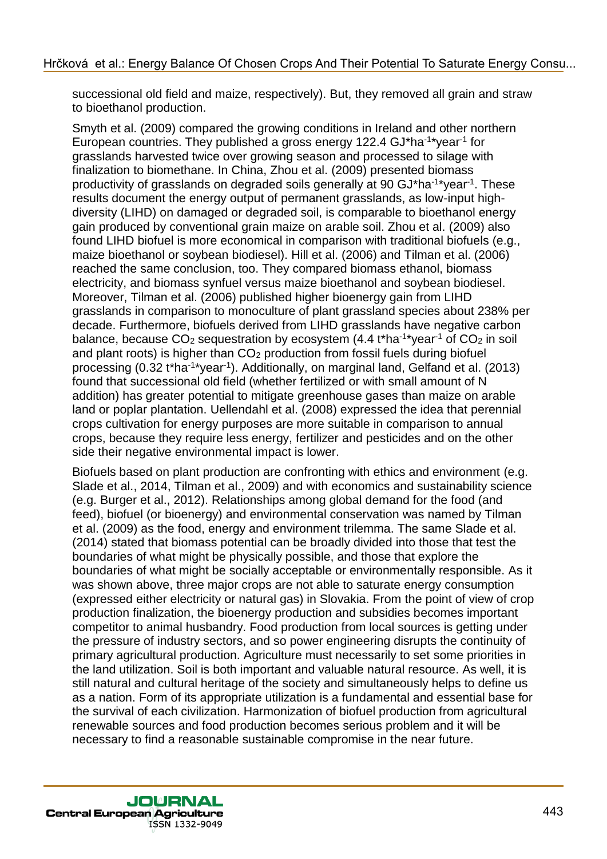successional old field and maize, respectively). But, they removed all grain and straw to bioethanol production.

Smyth et al. (2009) compared the growing conditions in Ireland and other northern European countries. They published a gross energy 122.4 GJ\*ha<sup>-1\*</sup>year<sup>-1</sup> for grasslands harvested twice over growing season and processed to silage with finalization to biomethane. In China, Zhou et al. (2009) presented biomass productivity of grasslands on degraded soils generally at 90 GJ\*ha<sup>-1\*</sup>year<sup>-1</sup>. These results document the energy output of permanent grasslands, as low-input highdiversity (LIHD) on damaged or degraded soil, is comparable to bioethanol energy gain produced by conventional grain maize on arable soil. Zhou et al. (2009) also found LIHD biofuel is more economical in comparison with traditional biofuels (e.g., maize bioethanol or soybean biodiesel). Hill et al. (2006) and Tilman et al. (2006) reached the same conclusion, too. They compared biomass ethanol, biomass electricity, and biomass synfuel versus maize bioethanol and soybean biodiesel. Moreover, Tilman et al. (2006) published higher bioenergy gain from LIHD grasslands in comparison to monoculture of plant grassland species about 238% per decade. Furthermore, biofuels derived from LIHD grasslands have negative carbon balance, because CO<sub>2</sub> sequestration by ecosystem  $(4.4 t<sup>*</sup>ha<sup>-1*</sup>year<sup>-1</sup>$  of CO<sub>2</sub> in soil and plant roots) is higher than  $CO<sub>2</sub>$  production from fossil fuels during biofuel processing (0.32 t\*ha<sup>-1\*</sup>year<sup>-1</sup>). Additionally, on marginal land, Gelfand et al. (2013) found that successional old field (whether fertilized or with small amount of N addition) has greater potential to mitigate greenhouse gases than maize on arable land or poplar plantation. Uellendahl et al. (2008) expressed the idea that perennial crops cultivation for energy purposes are more suitable in comparison to annual crops, because they require less energy, fertilizer and pesticides and on the other side their negative environmental impact is lower.

Biofuels based on plant production are confronting with ethics and environment (e.g. Slade et al., 2014, Tilman et al., 2009) and with economics and sustainability science (e.g. Burger et al., 2012). Relationships among global demand for the food (and feed), biofuel (or bioenergy) and environmental conservation was named by Tilman et al. (2009) as the food, energy and environment trilemma. The same Slade et al. (2014) stated that biomass potential can be broadly divided into those that test the boundaries of what might be physically possible, and those that explore the boundaries of what might be socially acceptable or environmentally responsible. As it was shown above, three major crops are not able to saturate energy consumption (expressed either electricity or natural gas) in Slovakia. From the point of view of crop production finalization, the bioenergy production and subsidies becomes important competitor to animal husbandry. Food production from local sources is getting under the pressure of industry sectors, and so power engineering disrupts the continuity of primary agricultural production. Agriculture must necessarily to set some priorities in the land utilization. Soil is both important and valuable natural resource. As well, it is still natural and cultural heritage of the society and simultaneously helps to define us as a nation. Form of its appropriate utilization is a fundamental and essential base for the survival of each civilization. Harmonization of biofuel production from agricultural renewable sources and food production becomes serious problem and it will be necessary to find a reasonable sustainable compromise in the near future.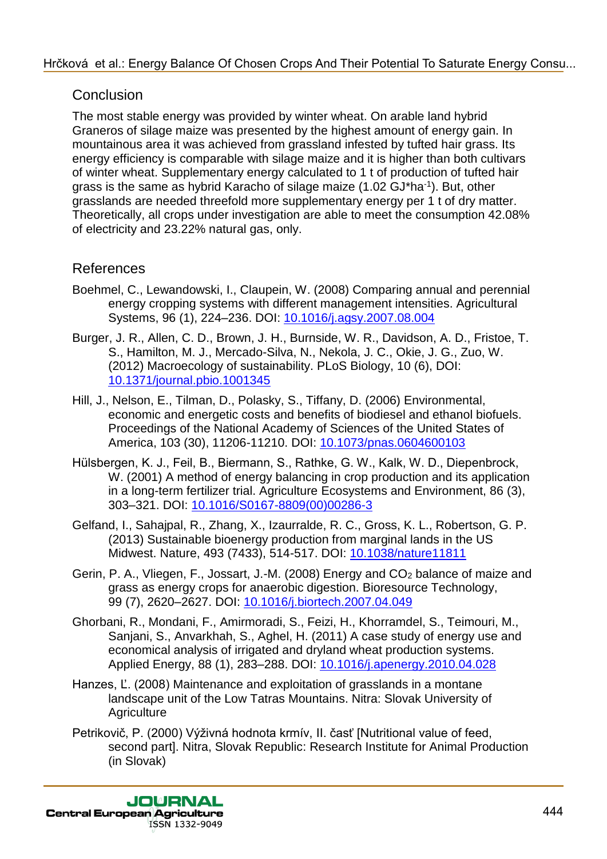## **Conclusion**

The most stable energy was provided by winter wheat. On arable land hybrid Graneros of silage maize was presented by the highest amount of energy gain. In mountainous area it was achieved from grassland infested by tufted hair grass. Its energy efficiency is comparable with silage maize and it is higher than both cultivars of winter wheat. Supplementary energy calculated to 1 t of production of tufted hair grass is the same as hybrid Karacho of silage maize (1.02 GJ\*ha<sup>-1</sup>). But, other grasslands are needed threefold more supplementary energy per 1 t of dry matter. Theoretically, all crops under investigation are able to meet the consumption 42.08% of electricity and 23.22% natural gas, only.

### References

- Boehmel, C., Lewandowski, I., Claupein, W. (2008) Comparing annual and perennial energy cropping systems with different management intensities. Agricultural Systems, 96 (1), 224–236. DOI: 10.1016/j.agsy.2007.08.004
- Burger, J. R., Allen, C. D., Brown, J. H., Burnside, W. R., Davidson, A. D., Fristoe, T. S., Hamilton, M. J., Mercado-Silva, N., Nekola, J. C., Okie, J. G., Zuo, W. (2012) Macroecology of sustainability. PLoS Biology, 10 (6), DOI: 10.1371/journal.pbio.1001345
- Hill, J., Nelson, E., Tilman, D., Polasky, S., Tiffany, D. (2006) Environmental, economic and energetic costs and benefits of biodiesel and ethanol biofuels. Proceedings of the National Academy of Sciences of the United States of America, 103 (30), 11206-11210. DOI: 10.1073/pnas.0604600103
- Hülsbergen, K. J., Feil, B., Biermann, S., Rathke, G. W., Kalk, W. D., Diepenbrock, W. (2001) A method of energy balancing in crop production and its application in a long-term fertilizer trial. Agriculture Ecosystems and Environment, 86 (3), 303–321. DOI: 10.1016/S0167-8809(00)00286-3
- Gelfand, I., Sahajpal, R., Zhang, X., Izaurralde, R. C., Gross, K. L., Robertson, G. P. (2013) Sustainable bioenergy production from marginal lands in the US Midwest. Nature, 493 (7433), 514-517. DOI: 10.1038/nature11811
- Gerin, P. A., Vliegen, F., Jossart, J.-M. (2008) Energy and CO<sub>2</sub> balance of maize and grass as energy crops for anaerobic digestion. Bioresource Technology, 99 (7), 2620–2627. DOI: 10.1016/j.biortech.2007.04.049
- Ghorbani, R., Mondani, F., Amirmoradi, S., Feizi, H., Khorramdel, S., Teimouri, M., Sanjani, S., Anvarkhah, S., Aghel, H. (2011) A case study of energy use and economical analysis of irrigated and dryland wheat production systems. Applied Energy, 88 (1), 283–288. DOI: 10.1016/j.apenergy.2010.04.028
- Hanzes, Ľ. (2008) Maintenance and exploitation of grasslands in a montane landscape unit of the Low Tatras Mountains. Nitra: Slovak University of **Agriculture**
- Petrikovič, P. (2000) Výživná hodnota krmív, II. časť [Nutritional value of feed, second part]. Nitra, Slovak Republic: Research Institute for Animal Production (in Slovak)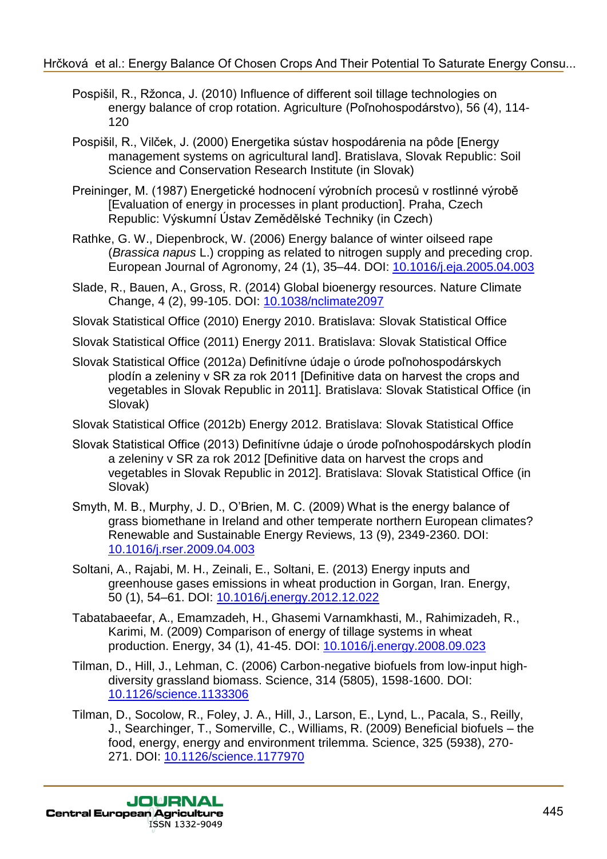#### [Hrčková et al.: Energy Balance Of Chosen Crops And Their Potential To Saturate Energy Consu...](http://jcea.agr.hr/volumes.php?search=Article%3A1726)

- Pospišil, R., Ržonca, J. (2010) Influence of different soil tillage technologies on energy balance of crop rotation. Agriculture (Poľnohospodárstvo), 56 (4), 114- 120
- Pospišil, R., Vilček, J. (2000) Energetika sústav hospodárenia na pôde [Energy management systems on agricultural land]. Bratislava, Slovak Republic: Soil Science and Conservation Research Institute (in Slovak)
- Preininger, M. (1987) Energetické hodnocení výrobních procesů v rostlinné výrobě [Evaluation of energy in processes in plant production]. Praha, Czech Republic: Výskumní Ústav Zemědělské Techniky (in Czech)
- Rathke, G. W., Diepenbrock, W. (2006) Energy balance of winter oilseed rape (*Brassica napus* L.) cropping as related to nitrogen supply and preceding crop. European Journal of Agronomy, 24 (1), 35–44. DOI: 10.1016/j.eja.2005.04.003
- Slade, R., Bauen, A., Gross, R. (2014) Global bioenergy resources. Nature Climate Change, 4 (2), 99-105. DOI: 10.1038/nclimate2097
- Slovak Statistical Office (2010) Energy 2010. Bratislava: Slovak Statistical Office
- Slovak Statistical Office (2011) Energy 2011. Bratislava: Slovak Statistical Office
- Slovak Statistical Office (2012a) Definitívne údaje o úrode poľnohospodárskych plodín a zeleniny v SR za rok 2011 [Definitive data on harvest the crops and vegetables in Slovak Republic in 2011]. Bratislava: Slovak Statistical Office (in Slovak)

Slovak Statistical Office (2012b) Energy 2012. Bratislava: Slovak Statistical Office

- Slovak Statistical Office (2013) Definitívne údaje o úrode poľnohospodárskych plodín a zeleniny v SR za rok 2012 [Definitive data on harvest the crops and vegetables in Slovak Republic in 2012]. Bratislava: Slovak Statistical Office (in Slovak)
- Smyth, M. B., Murphy, J. D., O'Brien, M. C. (2009) What is the energy balance of grass biomethane in Ireland and other temperate northern European climates? Renewable and Sustainable Energy Reviews, 13 (9), 2349-2360. DOI: 10.1016/j.rser.2009.04.003
- Soltani, A., Rajabi, M. H., Zeinali, E., Soltani, E. (2013) Energy inputs and greenhouse gases emissions in wheat production in Gorgan, Iran. Energy, 50 (1), 54–61. DOI: 10.1016/j.energy.2012.12.022
- Tabatabaeefar, A., Emamzadeh, H., Ghasemi Varnamkhasti, M., Rahimizadeh, R., Karimi, M. (2009) Comparison of energy of tillage systems in wheat production. Energy, 34 (1), 41-45. DOI: 10.1016/j.energy.2008.09.023
- Tilman, D., Hill, J., Lehman, C. (2006) Carbon-negative biofuels from low-input highdiversity grassland biomass. Science, 314 (5805), 1598-1600. DOI: 10.1126/science.1133306
- Tilman, D., Socolow, R., Foley, J. A., Hill, J., Larson, E., Lynd, L., Pacala, S., Reilly, J., Searchinger, T., Somerville, C., Williams, R. (2009) Beneficial biofuels – the food, energy, energy and environment trilemma. Science, 325 (5938), 270- 271. DOI: 10.1126/science.1177970